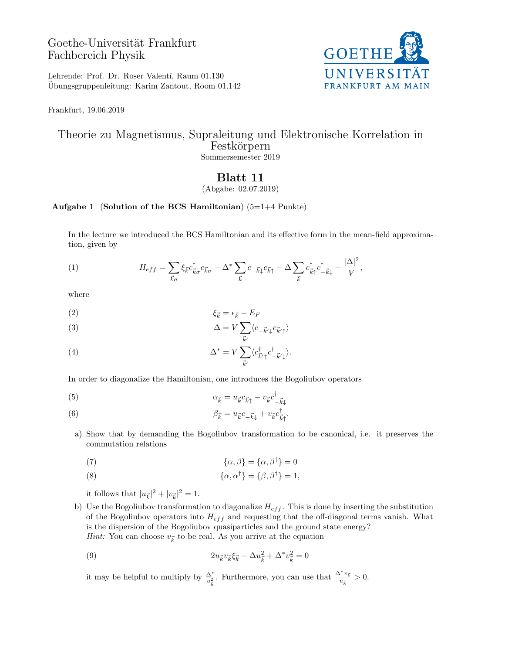## Goethe-Universität Frankfurt Fachbereich Physik



Lehrende: Prof. Dr. Roser Valentí, Raum 01.130 Ubungsgruppenleitung: Karim Zantout, Room 01.142 ¨

Frankfurt, 19.06.2019

## Theorie zu Magnetismus, Supraleitung und Elektronische Korrelation in Festkörpern Sommersemester 2019

## Blatt 11

(Abgabe: 02.07.2019)

## Aufgabe 1 (Solution of the BCS Hamiltonian)  $(5=1+4 \text{ Punkte})$

In the lecture we introduced the BCS Hamiltonian and its effective form in the mean-field approximation, given by

(1) 
$$
H_{eff} = \sum_{\vec{k}\sigma} \xi_{\vec{k}} c_{\vec{k}\sigma}^{\dagger} c_{\vec{k}\sigma} - \Delta^* \sum_{\vec{k}} c_{-\vec{k}\downarrow} c_{\vec{k}\uparrow} - \Delta \sum_{\vec{k}} c_{\vec{k}\uparrow}^{\dagger} c_{-\vec{k}\downarrow}^{\dagger} + \frac{|\Delta|^2}{V},
$$

where

$$
\xi_{\vec{k}} = \epsilon_{\vec{k}} - E_F
$$

(3) 
$$
\Delta = V \sum_{\vec{k}'} \langle c_{-\vec{k}'}^{\phantom{\dagger}} c_{\vec{k}'}^{\phantom{\dagger}} \rangle
$$

(4) 
$$
\Delta^* = V \sum_{\vec{k}'} \langle c_{\vec{k}'\uparrow}^{\dagger} c_{-\vec{k}'\downarrow}^{\dagger} \rangle.
$$

In order to diagonalize the Hamiltonian, one introduces the Bogoliubov operators

$$
\alpha_{\vec{k}} = u_{\vec{k}} c_{\vec{k}\uparrow} - v_{\vec{k}} c_{-\vec{k}\downarrow}^{\dagger}
$$

(6) 
$$
\beta_{\vec{k}} = u_{\vec{k}} c_{-\vec{k}\downarrow} + v_{\vec{k}} c_{\vec{k}\uparrow}^{\dagger}.
$$

a) Show that by demanding the Bogoliubov transformation to be canonical, i.e. it preserves the commutation relations

(7) 
$$
\{\alpha,\beta\} = \{\alpha,\beta^{\dagger}\} = 0
$$

(8) 
$$
\{\alpha, \alpha^{\dagger}\} = \{\beta, \beta^{\dagger}\} = 1,
$$

it follows that  $|u_{\vec{k}}|^2 + |v_{\vec{k}}|^2 = 1$ .

b) Use the Bogoliubov transformation to diagonalize  $H_{eff}$ . This is done by inserting the substitution of the Bogoliubov operators into  $H_{eff}$  and requesting that the off-diagonal terms vanish. What is the dispersion of the Bogoliubov quasiparticles and the ground state energy? *Hint:* You can choose  $v_{\vec{k}}$  to be real. As you arrive at the equation

(9) 
$$
2u_{\vec{k}}v_{\vec{k}}\xi_{\vec{k}} - \Delta u_{\vec{k}}^2 + \Delta^* v_{\vec{k}}^2 = 0
$$

it may be helpful to multiply by  $\frac{\Delta^*}{u_k^2}$ . Furthermore, you can use that  $\frac{\Delta^* v_k}{u_k^2}$  $rac{v_{\vec{k}}}{u_{\vec{k}}} > 0.$